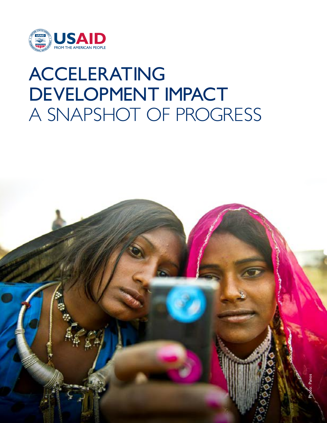

# ACCELERATING DEVELOPMENT IMPACT A SNAPSHOT OF PROGRESS

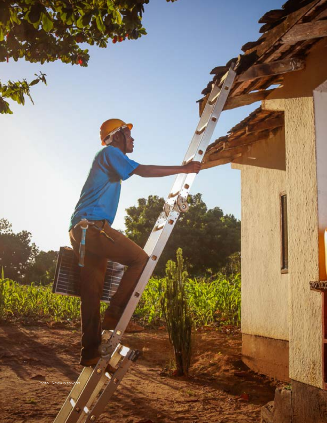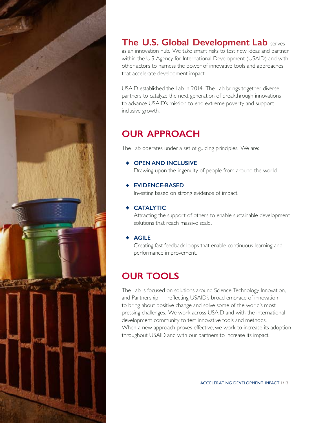

### **The U.S. Global Development Lab** serves

as an innovation hub. We take smart risks to test new ideas and partner within the U.S. Agency for International Development (USAID) and with other actors to harness the power of innovative tools and approaches that accelerate development impact.

USAID established the Lab in 2014. The Lab brings together diverse partners to catalyze the next generation of breakthrough innovations to advance USAID's mission to end extreme poverty and support inclusive growth.

### **OUR APPROACH**

The Lab operates under a set of guiding principles. We are:

### **OPEN AND INCLUSIVE**

Drawing upon the ingenuity of people from around the world.

### **EVIDENCE-BASED**

Investing based on strong evidence of impact.

### **CATALYTIC**

Attracting the support of others to enable sustainable development solutions that reach massive scale.

### **AGILE**

Creating fast feedback loops that enable continuous learning and performance improvement.

### **OUR TOOLS**

The Lab is focused on solutions around Science, Technology, Innovation, and Partnership — reflecting USAID's broad embrace of innovation to bring about positive change and solve some of the world's most pressing challenges. We work across USAID and with the international development community to test innovative tools and methods. When a new approach proves effective, we work to increase its adoption throughout USAID and with our partners to increase its impact.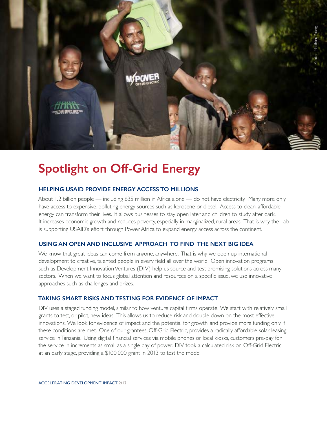

## **Spotlight on Off-Grid Energy**

### **HELPING USAID PROVIDE ENERGY ACCESS TO MILLIONS**

About 1.2 billion people — including 635 million in Africa alone — do not have electricity. Many more only have access to expensive, polluting energy sources such as kerosene or diesel. Access to clean, affordable energy can transform their lives. It allows businesses to stay open later and children to study after dark. It increases economic growth and reduces poverty, especially in marginalized, rural areas. That is why the Lab is supporting USAID's effort through Power Africa to expand energy access across the continent.

#### **USING AN OPEN AND INCLUSIVE APPROACH TO FIND THE NEXT BIG IDEA**

We know that great ideas can come from anyone, anywhere. That is why we open up international development to creative, talented people in every field all over the world. Open innovation programs such as Development Innovation Ventures (DIV) help us source and test promising solutions across many sectors. When we want to focus global attention and resources on a specific issue, we use innovative approaches such as challenges and prizes.

### **TAKING SMART RISKS AND TESTING FOR EVIDENCE OF IMPACT**

DIV uses a staged funding model, similar to how venture capital firms operate. We start with relatively small grants to test, or pilot, new ideas. This allows us to reduce risk and double down on the most effective innovations. We look for evidence of impact and the potential for growth, and provide more funding only if these conditions are met. One of our grantees, Off-Grid Electric, provides a radically affordable solar leasing service in Tanzania. Using digital financial services via mobile phones or local kiosks, customers pre-pay for the service in increments as small as a single day of power. DIV took a calculated risk on Off-Grid Electric at an early stage, providing a \$100,000 grant in 2013 to test the model.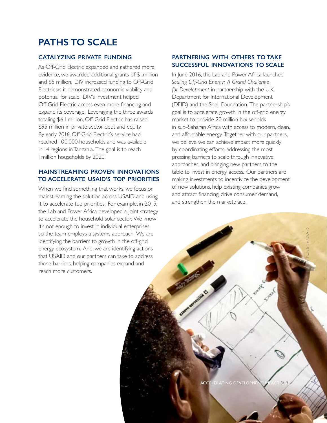### **PATHS TO SCALE**

### **CATALYZING PRIVATE FUNDING**

As Off-Grid Electric expanded and gathered more evidence, we awarded additional grants of \$1million and \$5 million. DIV increased funding to Off-Grid Electric as it demonstrated economic viability and potential for scale. DIV's investment helped Off-Grid Electric access even more financing and expand its coverage. Leveraging the three awards totaling \$6.1 million, Off-Grid Electric has raised \$95 million in private sector debt and equity. By early 2016, Off-Grid Electric's service had reached 100,000 households and was available in 14 regions in Tanzania. The goal is to reach 1million households by 2020.

### **MAINSTREAMING PROVEN INNOVATIONS TO ACCELERATE USAID'S TOP PRIORITIES**

When we find something that works, we focus on mainstreaming the solution across USAID and using it to accelerate top priorities. For example, in 2015, the Lab and Power Africa developed a joint strategy to accelerate the household solar sector. We know it's not enough to invest in individual enterprises, so the team employs a systems approach. We are identifying the barriers to growth in the off-grid energy ecosystem. And, we are identifying actions that USAID and our partners can take to address those barriers, helping companies expand and reach more customers.

### **PARTNERING WITH OTHERS TO TAKE SUCCESSFUL INNOVATIONS TO SCALE**

In June 2016, the Lab and Power Africa launched *Scaling Off-Grid Energy: A Grand Challenge*  for Development in partnership with the U.K. Department for International Development (DFID) and the Shell Foundation. The partnership's goal is to accelerate growth in the off-grid energy market to provide 20 million households in sub-Saharan Africa with access to modern, clean, and affordable energy. Together with our partners, we believe we can achieve impact more quickly by coordinating efforts, addressing the most pressing barriers to scale through innovative approaches, and bringing new partners to the table to invest in energy access. Our partners are making investments to incentivize the development of new solutions, help existing companies grow and attract financing, drive consumer demand, and strengthen the marketplace.

ACCELERATING DEVELOPMENT IMPACT 3/12

Photo: Jennifer Kwack for USAID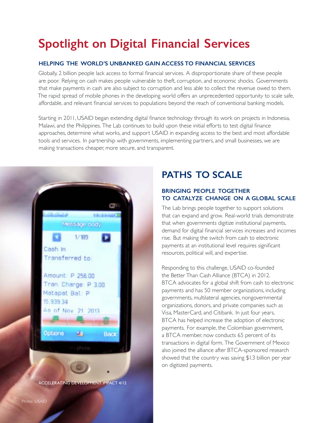## **Spotlight on Digital Financial Services**

### **HELPING THE WORLD'S UNBANKED GAIN ACCESS TO FINANCIAL SERVICES**

Globally, 2 billion people lack access to formal financial services. A disproportionate share of these people are poor. Relying on cash makes people vulnerable to theft, corruption, and economic shocks. Governments that make payments in cash are also subject to corruption and less able to collect the revenue owed to them. The rapid spread of mobile phones in the developing world offers an unprecedented opportunity to scale safe, affordable, and relevant financial services to populations beyond the reach of conventional banking models.

Starting in 2011, USAID began extending digital finance technology through its work on projects in Indonesia, Malawi, and the Philippines. The Lab continues to build upon these initial efforts to test digital finance approaches, determine what works, and support USAID in expanding access to the best and most affordable tools and services. In partnership with governments, implementing partners, and small businesses, we are making transactions cheaper, more secure, and transparent.



### **PATHS TO SCALE**

### **BRINGING PEOPLE TOGETHER TO CATALYZE CHANGE ON A GLOBAL SCALE**

The Lab brings people together to support solutions that can expand and grow. Real-world trials demonstrate that when governments digitize institutional payments, demand for digital financial services increases and incomes rise. But making the switch from cash to electronic payments at an institutional level requires significant resources, political will, and expertise.

Responding to this challenge, USAID co-founded the Better Than Cash Alliance (BTCA) in 2012. BTCA advocates for a global shift from cash to electronic payments and has 50 member organizations, including governments, multilateral agencies, nongovernmental organizations, donors, and private companies such as Visa, MasterCard, and Citibank. In just four years, BTCA has helped increase the adoption of electronic payments. For example, the Colombian government, a BTCA member, now conducts 65 percent of its transactions in digital form. The Government of Mexico also joined the alliance after BTCA-sponsored research showed that the country was saving \$1.3 billion per year on digitized payments.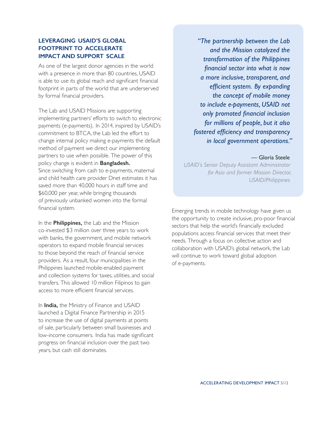### **LEVERAGING USAID'S GLOBAL FOOTPRINT TO ACCELERATE IMPACT AND SUPPORT SCALE**

As one of the largest donor agencies in the world with a presence in more than 80 countries, USAID is able to use its global reach and significant financial footprint in parts of the world that are underserved by formal financial providers.

The Lab and USAID Missions are supporting implementing partners' efforts to switch to electronic payments (e-payments). In 2014, inspired by USAID's commitment to BTCA, the Lab led the effort to change internal policy making e-payments the default method of payment we direct our implementing partners to use when possible. The power of this policy change is evident in **Bangladesh.** Since switching from cash to e-payments, maternal and child health care provider Dnet estimates it has saved more than 40,000 hours in staff time and \$60,000 per year, while bringing thousands of previously unbanked women into the formal financial system.

In the **Philippines,** the Lab and the Mission co-invested \$3 million over three years to work with banks, the government, and mobile network operators to expand mobile financial services to those beyond the reach of financial service providers. As a result, four municipalities in the Philippines launched mobile-enabled payment and collection systems for taxes, utilities, and social transfers. This allowed 10 million Filipinos to gain access to more efficient financial services.

In **India,** the Ministry of Finance and USAID launched a Digital Finance Partnership in 2015 to increase the use of digital payments at points of sale, particularly between small businesses and low-income consumers. India has made significant progress on financial inclusion over the past two years, but cash still dominates.

*"The partnership between the Lab and the Mission catalyzed the transformation of the Philippines financial sector into what is now a more inclusive, transparent, and efficient system. By expanding the concept of mobile money to include e-payments, USAID not only promoted financial inclusion for millions of people, but it also fostered efficiency and transparency in local government operations."*

#### — Gloria Steele

*USAID's Senior Deputy Assistant Administrator for Asia and former Mission Director, USAID/Philippines* 

Emerging trends in mobile technology have given us the opportunity to create inclusive, pro-poor financial sectors that help the world's financially excluded populations access financial services that meet their needs. Through a focus on collective action and collaboration with USAID's global network, the Lab will continue to work toward global adoption of e-payments.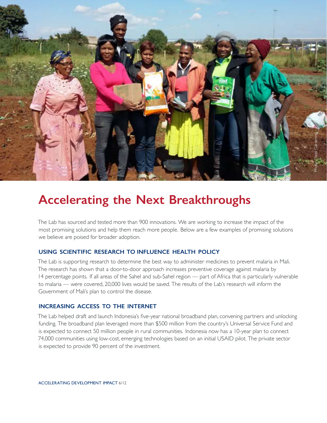

### **Accelerating the Next Breakthroughs**

The Lab has sourced and tested more than 900 innovations. We are working to increase the impact of the most promising solutions and help them reach more people. Below are a few examples of promising solutions we believe are poised for broader adoption.

### **USING SCIENTIFIC RESEARCH TO INFLUENCE HEALTH POLICY**

The Lab is supporting research to determine the best way to administer medicines to prevent malaria in Mali. The research has shown that a door-to-door approach increases preventive coverage against malaria by 14 percentage points. If all areas of the Sahel and sub-Sahel region — part of Africa that is particularly vulnerable to malaria — were covered, 20,000 lives would be saved. The results of the Lab's research will inform the Government of Mali's plan to control the disease.

### **INCREASING ACCESS TO THE INTERNET**

The Lab helped draft and launch Indonesia's five-year national broadband plan, convening partners and unlocking funding. The broadband plan leveraged more than \$500 million from the country's Universal Service Fund and is expected to connect 50 million people in rural communities. Indonesia now has a 10-year plan to connect 74,000 communities using low-cost, emerging technologies based on an initial USAID pilot. The private sector is expected to provide 90 percent of the investment.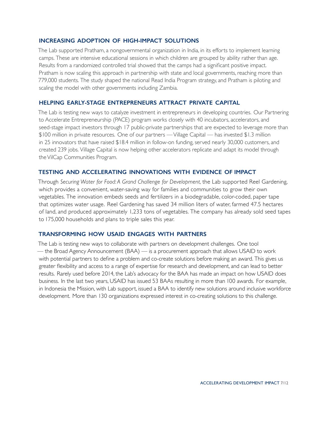### **INCREASING ADOPTION OF HIGH-IMPACT SOLUTIONS**

The Lab supported Pratham, a nongovernmental organization in India, in its efforts to implement learning camps. These are intensive educational sessions in which children are grouped by ability rather than age. Results from a randomized controlled trial showed that the camps had a significant positive impact. Pratham is now scaling this approach in partnership with state and local governments, reaching more than 779,000 students. The study shaped the national Read India Program strategy, and Pratham is piloting and scaling the model with other governments including Zambia.

### **HELPING EARLY-STAGE ENTREPRENEURS ATTRACT PRIVATE CAPITAL**

The Lab is testing new ways to catalyze investment in entrepreneurs in developing countries. Our Partnering to Accelerate Entrepreneurship (PACE) program works closely with 40 incubators, accelerators, and seed-stage impact investors through 17 public-private partnerships that are expected to leverage more than \$100 million in private resources. One of our partners — Village Capital — has invested \$1.3 million in 25 innovators that have raised \$18.4 million in follow-on funding, served nearly 30,000 customers, and created 239 jobs. Village Capital is now helping other accelerators replicate and adapt its model through the VilCap Communities Program.

### **TESTING AND ACCELERATING INNOVATIONS WITH EVIDENCE OF IMPACT**

Through *Securing Water for Food: A Grand Challenge for Development,* the Lab supported Reel Gardening, which provides a convenient, water-saving way for families and communities to grow their own vegetables. The innovation embeds seeds and fertilizers in a biodegradable, color-coded, paper tape that optimizes water usage. Reel Gardening has saved 34 million liters of water, farmed 47.5 hectares of land, and produced approximately 1,233 tons of vegetables. The company has already sold seed tapes to 175,000 households and plans to triple sales this year.

### **TRANSFORMING HOW USAID ENGAGES WITH PARTNERS**

The Lab is testing new ways to collaborate with partners on development challenges. One tool — the Broad Agency Announcement (BAA) — is a procurement approach that allows USAID to work with potential partners to define a problem and co-create solutions before making an award. This gives us greater flexibility and access to a range of expertise for research and development, and can lead to better results. Rarely used before 2014, the Lab's advocacy for the BAA has made an impact on how USAID does business. In the last two years, USAID has issued 53 BAAs resulting in more than 100 awards. For example, in Indonesia the Mission, with Lab support, issued a BAA to identify new solutions around inclusive workforce development. More than 130 organizations expressed interest in co-creating solutions to this challenge.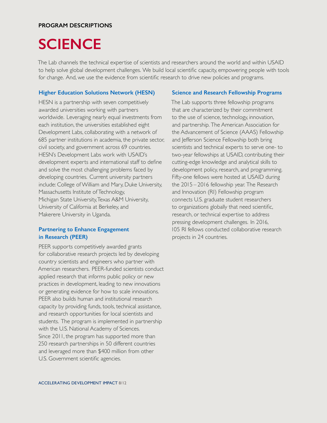## **SCIENCE**

The Lab channels the technical expertise of scientists and researchers around the world and within USAID to help solve global development challenges. We build local scientific capacity, empowering people with tools for change. And, we use the evidence from scientific research to drive new policies and programs.

### **Higher Education Solutions Network (HESN)**

HESN is a partnership with seven competitively awarded universities working with partners worldwide. Leveraging nearly equal investments from each institution, the universities established eight Development Labs, collaborating with a network of 685 partner institutions in academia, the private sector, civil society, and government across 69 countries. HESN's Development Labs work with USAID's development experts and international staff to define and solve the most challenging problems faced by developing countries. Current university partners include: College of William and Mary, Duke University, Massachusetts Institute of Technology, Michigan State University, Texas A&M University, University of California at Berkeley, and Makerere University in Uganda.

### **Partnering to Enhance Engagement in Research (PEER)**

PEER supports competitively awarded grants for collaborative research projects led by developing country scientists and engineers who partner with American researchers. PEER-funded scientists conduct applied research that informs public policy or new practices in development, leading to new innovations or generating evidence for how to scale innovations. PEER also builds human and institutional research capacity by providing funds, tools, technical assistance, and research opportunities for local scientists and students. The program is implemented in partnership with the U.S. National Academy of Sciences. Since 2011, the program has supported more than 250 research partnerships in 50 different countries and leveraged more than \$400 million from other U.S. Government scientific agencies.

#### **Science and Research Fellowship Programs**

The Lab supports three fellowship programs that are characterized by their commitment to the use of science, technology, innovation, and partnership. The American Association for the Advancement of Science (AAAS) Fellowship and Jefferson Science Fellowship both bring scientists and technical experts to serve one- to two-year fellowships at USAID, contributing their cutting-edge knowledge and analytical skills to development policy, research, and programming. Fifty-one fellows were hosted at USAID during the 2015 – 2016 fellowship year. The Research and Innovation (RI) Fellowship program connects U.S. graduate student researchers to organizations globally that need scientific, research, or technical expertise to address pressing development challenges. In 2016, 105 RI fellows conducted collaborative research projects in 24 countries.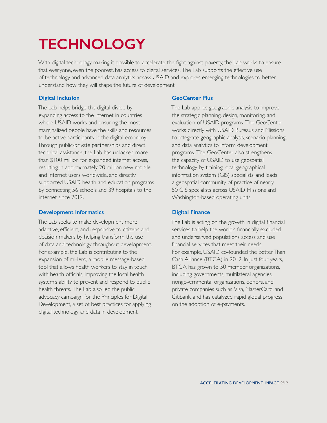# **TECHNOLOGY**

With digital technology making it possible to accelerate the fight against poverty, the Lab works to ensure that everyone, even the poorest, has access to digital services. The Lab supports the effective use of technology and advanced data analytics across USAID and explores emerging technologies to better understand how they will shape the future of development.

### **Digital Inclusion**

The Lab helps bridge the digital divide by expanding access to the internet in countries where USAID works and ensuring the most marginalized people have the skills and resources to be active participants in the digital economy. Through public-private partnerships and direct technical assistance, the Lab has unlocked more than \$100 million for expanded internet access, resulting in approximately 20 million new mobile and internet users worldwide, and directly supported USAID health and education programs by connecting 56 schools and 39 hospitals to the internet since 2012.

### **Development Informatics**

The Lab seeks to make development more adaptive, efficient, and responsive to citizens and decision makers by helping transform the use of data and technology throughout development. For example, the Lab is contributing to the expansion of mHero, a mobile message-based tool that allows health workers to stay in touch with health officials, improving the local health system's ability to prevent and respond to public health threats. The Lab also led the public advocacy campaign for the Principles for Digital Development, a set of best practices for applying digital technology and data in development.

### **GeoCenter Plus**

The Lab applies geographic analysis to improve the strategic planning, design, monitoring, and evaluation of USAID programs. The GeoCenter works directly with USAID Bureaus and Missions to integrate geographic analysis, scenario planning, and data analytics to inform development programs. The GeoCenter also strengthens the capacity of USAID to use geospatial technology by training local geographical information system (GIS) specialists, and leads a geospatial community of practice of nearly 50 GIS specialists across USAID Missions and Washington-based operating units.

### **Digital Finance**

The Lab is acting on the growth in digital financial services to help the world's financially excluded and underserved populations access and use financial services that meet their needs. For example, USAID co-founded the Better Than Cash Alliance (BTCA) in 2012. In just four years, BTCA has grown to 50 member organizations, including governments, multilateral agencies, nongovernmental organizations, donors, and private companies such as Visa, MasterCard, and Citibank, and has catalyzed rapid global progress on the adoption of e-payments.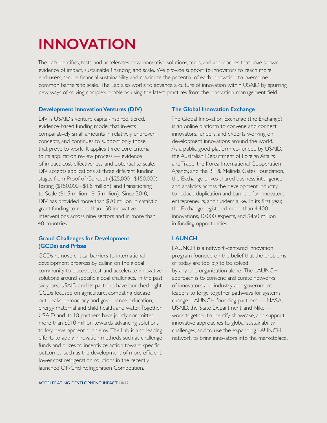## **INNOVATION**

The Lab identifies, tests, and accelerates new innovative solutions, tools, and approaches that have shown evidence of impact, sustainable financing, and scale. We provide support to innovators to reach more end-users, secure financial sustainability, and maximize the potential of each innovation to overcome common barriers to scale. The Lab also works to advance a culture of innovation within USAID by spurring new ways of solving complex problems using the latest practices from the innovation management field.

#### **Development Innovation Ventures (DIV)**

DIV is USAID's venture capital-inspired, tiered, evidence-based funding model that invests comparatively small amounts in relatively unproven concepts, and continues to support only those that prove to work. It applies three core criteria to its application review process — evidence of impact, cost-effectiveness, and potential to scale. DIV accepts applications at three different funding stages from Proof of Concept (\$25,000 – \$150,000); Testing (\$150,000 – \$1.5 million); and Transitioning to Scale (\$1.5 million – \$15 million). Since 2010, DIV has provided more than \$70 million in catalytic grant funding to more than 150 innovative interventions across nine sectors and in more than 40 countries.

### **Grand Challenges for Development (GCDs) and Prizes**

GCDs remove critical barriers to international development progress by calling on the global community to discover, test, and accelerate innovative solutions around specific global challenges. In the past six years, USAID and its partners have launched eight GCDs focused on agriculture, combating disease outbreaks, democracy and governance, education, energy, maternal and child health, and water. Together USAID and its 18 partners have jointly committed more than \$310 million towards advancing solutions to key development problems. The Lab is also leading efforts to apply innovation methods such as challenge funds and prizes to incentivize action toward specific outcomes, such as the development of more efficient, lower-cost refrigeration solutions in the recently launched Off-Grid Refrigeration Competition.

#### **The Global Innovation Exchange**

The Global Innovation Exchange (the Exchange) is an online platform to convene and connect innovators, funders, and experts working on development innovations around the world. As a public good platform co-funded by USAID, the Australian Department of Foreign Affairs and Trade, the Korea International Cooperation Agency, and the Bill & Melinda Gates Foundation, the Exchange drives shared business intelligence and analytics across the development industry to reduce duplication and barriers for innovators, entrepreneurs, and funders alike. In its first year, the Exchange registered more than 4,400 innovations, 10,000 experts, and \$450 million in funding opportunities.

### **LAUNCH**

LAUNCH is a network-centered innovation program founded on the belief that the problems of today are too big to be solved by any one organization alone. The LAUNCH approach is to convene and curate networks of innovators and industry and government leaders to forge together pathways for systems change. LAUNCH founding partners — NASA, USAID, the State Department, and Nike work together to identify, showcase, and support innovative approaches to global sustainability challenges, and to use the expanding LAUNCH network to bring innovators into the marketplace.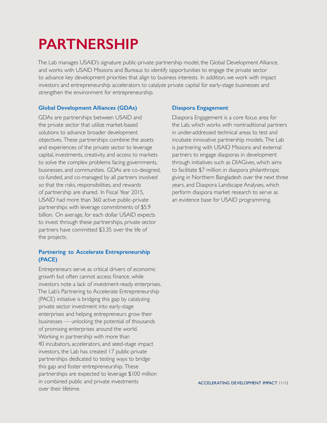## **PARTNERSHIP**

The Lab manages USAID's signature public-private partnership model, the Global Development Alliance, and works with USAID Missions and Bureaus to identify opportunities to engage the private sector to advance key development priorities that align to business interests. In addition, we work with impact investors and entrepreneurship accelerators to catalyze private capital for early-stage businesses and strengthen the environment for entrepreneurship.

### **Global Development Alliances (GDAs)**

GDAs are partnerships between USAID and the private sector that utilize market-based solutions to advance broader development objectives. These partnerships combine the assets and experiences of the private sector to leverage capital, investments, creativity, and access to markets to solve the complex problems facing governments, businesses, and communities. GDAs are co-designed, co-funded, and co-managed by all partners involved so that the risks, responsibilities, and rewards of partnership are shared. In Fiscal Year 2015, USAID had more than 360 active public-private partnerships with leverage commitments of \$5.9 billion. On average, for each dollar USAID expects to invest through these partnerships, private sector partners have committed \$3.35 over the life of the projects.

### **Partnering to Accelerate Entrepreneurship (PACE)**

Entrepreneurs serve as critical drivers of economic growth but often cannot access finance, while investors note a lack of investment-ready enterprises. The Lab's Partnering to Accelerate Entrepreneurship (PACE) initiative is bridging this gap by catalyzing private sector investment into early-stage enterprises and helping entrepreneurs grow their businesses — unlocking the potential of thousands of promising enterprises around the world. Working in partnership with more than 40 incubators, accelerators, and seed-stage impact investors, the Lab has created 17 public-private partnerships dedicated to testing ways to bridge this gap and foster entrepreneurship. These partnerships are expected to leverage \$100 million in combined public and private investments over their lifetime.

### **Diaspora Engagement**

Diaspora Engagement is a core focus area for the Lab, which works with nontraditional partners in under-addressed technical areas to test and incubate innovative partnership models. The Lab is partnering with USAID Missions and external partners to engage diasporas in development through initiatives such as DIAGives, which aims to facilitate \$7 million in diaspora philanthropic giving in Northern Bangladesh over the next three years, and Diaspora Landscape Analyses, which perform diaspora market research to serve as an evidence base for USAID programming.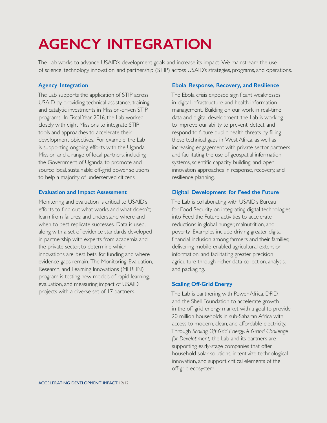# **AGENCY INTEGRATION**

The Lab works to advance USAID's development goals and increase its impact. We mainstream the use of science, technology, innovation, and partnership (STIP) across USAID's strategies, programs, and operations.

### **Agency Integration**

The Lab supports the application of STIP across USAID by providing technical assistance, training, and catalytic investments in Mission-driven STIP programs. In Fiscal Year 2016, the Lab worked closely with eight Missions to integrate STIP tools and approaches to accelerate their development objectives. For example, the Lab is supporting ongoing efforts with the Uganda Mission and a range of local partners, including the Government of Uganda, to promote and source local, sustainable off-grid power solutions to help a majority of underserved citizens.

### **Evaluation and Impact Assessment**

Monitoring and evaluation is critical to USAID's efforts to find out what works and what doesn't; learn from failures; and understand where and when to best replicate successes. Data is used, along with a set of evidence standards developed in partnership with experts from academia and the private sector, to determine which innovations are 'best bets' for funding and where evidence gaps remain. The Monitoring, Evaluation, Research, and Learning Innovations (MERLIN) program is testing new models of rapid learning, evaluation, and measuring impact of USAID projects with a diverse set of 17 partners.

### **Ebola Response, Recovery, and Resilience**

The Ebola crisis exposed significant weaknesses in digital infrastructure and health information management. Building on our work in real-time data and digital development, the Lab is working to improve our ability to prevent, detect, and respond to future public health threats by filling these technical gaps in West Africa, as well as increasing engagement with private sector partners and facilitating the use of geospatial information systems, scientific capacity building, and open innovation approaches in response, recovery, and resilience planning.

### **Digital Development for Feed the Future**

The Lab is collaborating with USAID's Bureau for Food Security on integrating digital technologies into Feed the Future activities to accelerate reductions in global hunger, malnutrition, and poverty. Examples include driving greater digital financial inclusion among farmers and their families; delivering mobile-enabled agricultural extension information; and facilitating greater precision agriculture through richer data collection, analysis, and packaging.

### **Scaling Off-Grid Energy**

The Lab is partnering with Power Africa, DFID, and the Shell Foundation to accelerate growth in the off-grid energy market with a goal to provide 20 million households in sub-Saharan Africa with access to modern, clean, and affordable electricity. Through *Scaling Off-Grid Energy: A Grand Challenge for Development,* the Lab and its partners are supporting early-stage companies that offer household solar solutions, incentivize technological innovation, and support critical elements of the off-grid ecosystem.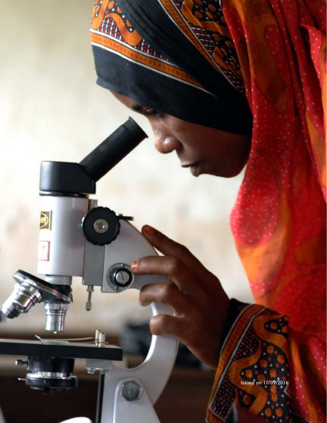Issued on 11/09/2016

NEW YORK

- 98

 $\odot$